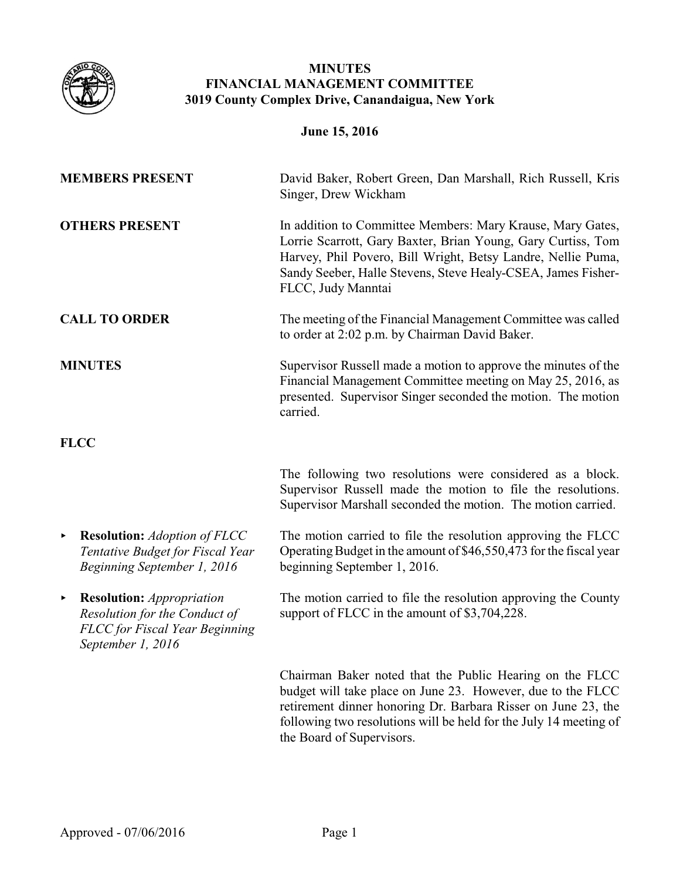

# **MINUTES FINANCIAL MANAGEMENT COMMITTEE 3019 County Complex Drive, Canandaigua, New York**

| June 15, 2016                                                                                                                        |                                                                                                                                                                                                                                                                                  |  |
|--------------------------------------------------------------------------------------------------------------------------------------|----------------------------------------------------------------------------------------------------------------------------------------------------------------------------------------------------------------------------------------------------------------------------------|--|
| <b>MEMBERS PRESENT</b>                                                                                                               | David Baker, Robert Green, Dan Marshall, Rich Russell, Kris<br>Singer, Drew Wickham                                                                                                                                                                                              |  |
| <b>OTHERS PRESENT</b>                                                                                                                | In addition to Committee Members: Mary Krause, Mary Gates,<br>Lorrie Scarrott, Gary Baxter, Brian Young, Gary Curtiss, Tom<br>Harvey, Phil Povero, Bill Wright, Betsy Landre, Nellie Puma,<br>Sandy Seeber, Halle Stevens, Steve Healy-CSEA, James Fisher-<br>FLCC, Judy Manntai |  |
| <b>CALL TO ORDER</b>                                                                                                                 | The meeting of the Financial Management Committee was called<br>to order at 2:02 p.m. by Chairman David Baker.                                                                                                                                                                   |  |
| <b>MINUTES</b>                                                                                                                       | Supervisor Russell made a motion to approve the minutes of the<br>Financial Management Committee meeting on May 25, 2016, as<br>presented. Supervisor Singer seconded the motion. The motion<br>carried.                                                                         |  |
| <b>FLCC</b>                                                                                                                          |                                                                                                                                                                                                                                                                                  |  |
|                                                                                                                                      | The following two resolutions were considered as a block.<br>Supervisor Russell made the motion to file the resolutions.<br>Supervisor Marshall seconded the motion. The motion carried.                                                                                         |  |
| <b>Resolution:</b> Adoption of FLCC<br>▶<br>Tentative Budget for Fiscal Year<br>Beginning September 1, 2016                          | The motion carried to file the resolution approving the FLCC<br>Operating Budget in the amount of \$46,550,473 for the fiscal year<br>beginning September 1, 2016.                                                                                                               |  |
| <b>Resolution:</b> Appropriation<br>▶<br>Resolution for the Conduct of<br><b>FLCC</b> for Fiscal Year Beginning<br>September 1, 2016 | The motion carried to file the resolution approving the County<br>support of FLCC in the amount of \$3,704,228.                                                                                                                                                                  |  |
|                                                                                                                                      | Chairman Baker noted that the Public Hearing on the FLCC<br>budget will take place on June 23. However, due to the FLCC<br>retirement dinner honoring Dr. Barbara Risser on June 23, the<br>following two resolutions will be held for the July 14 meeting of                    |  |

the Board of Supervisors.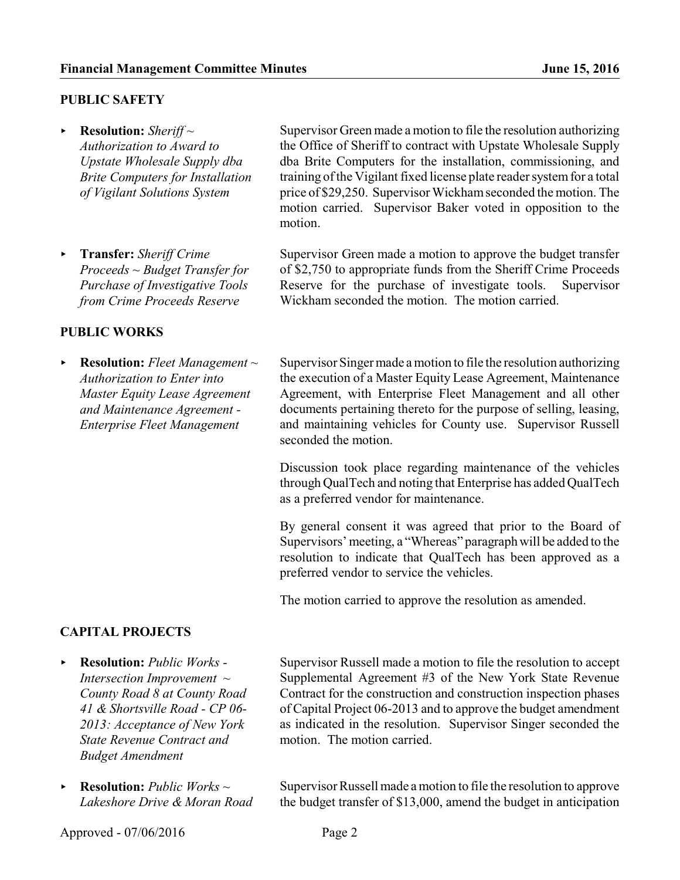# **PUBLIC SAFETY**

- < **Resolution:** *Sheriff ~ Authorization to Award to Upstate Wholesale Supply dba Brite Computers for Installation of Vigilant Solutions System*
- < **Transfer:** *Sheriff Crime Proceeds ~ Budget Transfer for Purchase of Investigative Tools from Crime Proceeds Reserve*

# **PUBLIC WORKS**

< **Resolution:** *Fleet Management ~ Authorization to Enter into Master Equity Lease Agreement and Maintenance Agreement - Enterprise Fleet Management*

Supervisor Green made a motion to file the resolution authorizing the Office of Sheriff to contract with Upstate Wholesale Supply dba Brite Computers for the installation, commissioning, and training of the Vigilant fixed license plate reader system for a total price of \$29,250. Supervisor Wickhamseconded the motion. The motion carried. Supervisor Baker voted in opposition to the motion.

Supervisor Green made a motion to approve the budget transfer of \$2,750 to appropriate funds from the Sheriff Crime Proceeds Reserve for the purchase of investigate tools. Supervisor Wickham seconded the motion. The motion carried.

Supervisor Singer made a motion to file the resolution authorizing the execution of a Master Equity Lease Agreement, Maintenance Agreement, with Enterprise Fleet Management and all other documents pertaining thereto for the purpose of selling, leasing, and maintaining vehicles for County use. Supervisor Russell seconded the motion.

Discussion took place regarding maintenance of the vehicles through QualTech and noting that Enterprise has added QualTech as a preferred vendor for maintenance.

By general consent it was agreed that prior to the Board of Supervisors' meeting, a "Whereas" paragraph will be added to the resolution to indicate that QualTech has been approved as a preferred vendor to service the vehicles.

The motion carried to approve the resolution as amended.

### **CAPITAL PROJECTS**

- < **Resolution:** *Public Works - Intersection Improvement ~ County Road 8 at County Road 41 & Shortsville Road - CP 06- 2013: Acceptance of New York State Revenue Contract and Budget Amendment*
- < **Resolution:** *Public Works ~ Lakeshore Drive & Moran Road*

Supervisor Russell made a motion to file the resolution to accept Supplemental Agreement #3 of the New York State Revenue Contract for the construction and construction inspection phases of Capital Project 06-2013 and to approve the budget amendment as indicated in the resolution. Supervisor Singer seconded the motion. The motion carried.

Supervisor Russell made a motion to file the resolution to approve the budget transfer of \$13,000, amend the budget in anticipation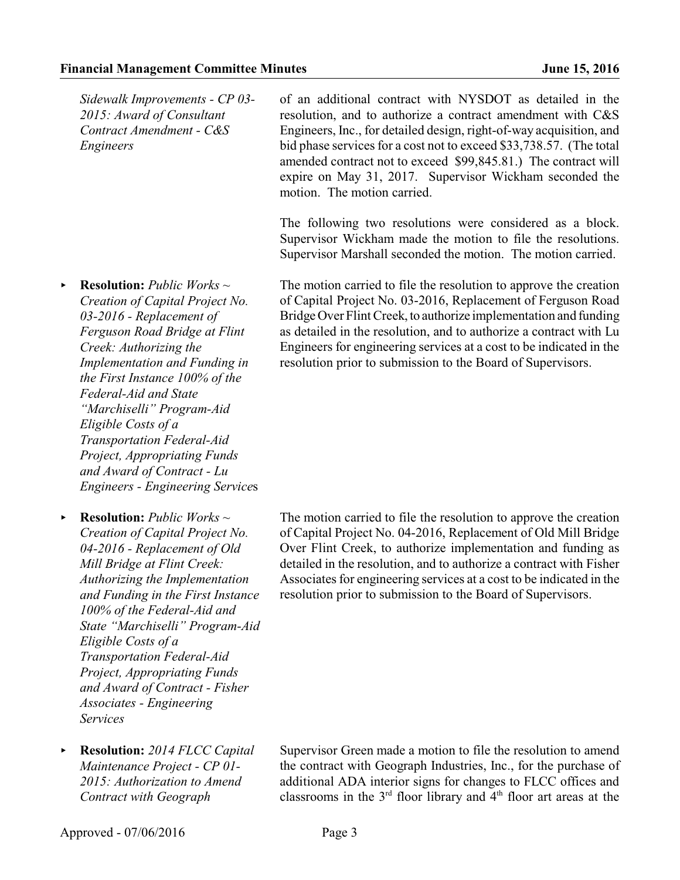|   | Sidewalk Improvements - CP 03-<br>2015: Award of Consultant<br>Contract Amendment - C&S<br>Engineers                                                                                                                                                                                                                                                                                                                                                           | of an additional contract with NYSDOT as detailed in the<br>resolution, and to authorize a contract amendment with C&S<br>Engineers, Inc., for detailed design, right-of-way acquisition, and<br>bid phase services for a cost not to exceed \$33,738.57. (The total<br>amended contract not to exceed \$99,845.81.) The contract will<br>expire on May 31, 2017. Supervisor Wickham seconded the<br>motion. The motion carried. |
|---|----------------------------------------------------------------------------------------------------------------------------------------------------------------------------------------------------------------------------------------------------------------------------------------------------------------------------------------------------------------------------------------------------------------------------------------------------------------|----------------------------------------------------------------------------------------------------------------------------------------------------------------------------------------------------------------------------------------------------------------------------------------------------------------------------------------------------------------------------------------------------------------------------------|
|   |                                                                                                                                                                                                                                                                                                                                                                                                                                                                | The following two resolutions were considered as a block.<br>Supervisor Wickham made the motion to file the resolutions.<br>Supervisor Marshall seconded the motion. The motion carried.                                                                                                                                                                                                                                         |
|   | <b>Resolution:</b> Public Works $\sim$<br>Creation of Capital Project No.<br>03-2016 - Replacement of<br>Ferguson Road Bridge at Flint<br>Creek: Authorizing the<br>Implementation and Funding in<br>the First Instance 100% of the<br>Federal-Aid and State<br>"Marchiselli" Program-Aid<br>Eligible Costs of a<br><b>Transportation Federal-Aid</b><br>Project, Appropriating Funds<br>and Award of Contract - Lu<br><b>Engineers - Engineering Services</b> | The motion carried to file the resolution to approve the creation<br>of Capital Project No. 03-2016, Replacement of Ferguson Road<br>Bridge Over Flint Creek, to authorize implementation and funding<br>as detailed in the resolution, and to authorize a contract with Lu<br>Engineers for engineering services at a cost to be indicated in the<br>resolution prior to submission to the Board of Supervisors.                |
| × | <b>Resolution:</b> Public Works $\sim$<br>Creation of Capital Project No.<br>04-2016 - Replacement of Old                                                                                                                                                                                                                                                                                                                                                      | The motion carried to file the resolution to approve the creation<br>of Capital Project No. 04-2016, Replacement of Old Mill Bridge<br>Over Flint Creek, to authorize implementation and funding as                                                                                                                                                                                                                              |

*Mill Bridge at Flint Creek: Authorizing the Implementation and Funding in the First Instance 100% of the Federal-Aid and State "Marchiselli" Program-Aid Eligible Costs of a Transportation Federal-Aid Project, Appropriating Funds and Award of Contract - Fisher Associates - Engineering Services*

< **Resolution:** *2014 FLCC Capital Maintenance Project - CP 01- 2015: Authorization to Amend Contract with Geograph*

of Capital Project No. 04-2016, Replacement of Old Mill Bridge Over Flint Creek, to authorize implementation and funding as detailed in the resolution, and to authorize a contract with Fisher Associates for engineering services at a cost to be indicated in the resolution prior to submission to the Board of Supervisors.

Supervisor Green made a motion to file the resolution to amend the contract with Geograph Industries, Inc., for the purchase of additional ADA interior signs for changes to FLCC offices and classrooms in the  $3<sup>rd</sup>$  floor library and  $4<sup>th</sup>$  floor art areas at the